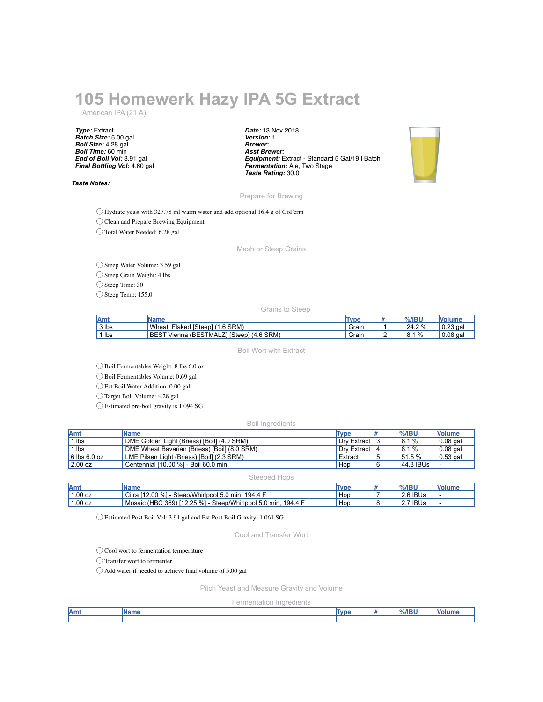## **105 Homewerk Hazy IPA 5G Extract**

American IPA (21 A)

*Type:* Extract *Batch Size:* 5.00 gal *Boil Size:* 4.28 gal *Boil Time:* 60 min *End of Boil Vol:* 3.91 gal *Final Bottling Vol:* 4.60 gal

*Taste Notes:*

*Date:* 13 Nov 2018 *Version:* 1 *Brewer: Asst Brewer: Equipment:* Extract - Standard 5 Gal/19 l Batch *Fermentation:* Ale, Two Stage *Taste Rating:* 30.0



Prepare for Brewing

◯ Hydrate yeast with 327.78 ml warm water and add optional 16.4 g of GoFerm

◯ Clean and Prepare Brewing Equipment

◯ Total Water Needed: 6.28 gal

Mash or Steep Grains

◯ Steep Water Volume: 3.59 gal

◯ Steep Grain Weight: 4 lbs

◯ Steep Time: 30

◯ Steep Temp: 155.0

Grains to Steep

| <b>Amt</b> | <b>Name</b>                                                   | <b>Type</b> |   | $%$ /IBU    | <b>Nolume</b> |
|------------|---------------------------------------------------------------|-------------|---|-------------|---------------|
| $3$ lbs    | Wheat.<br>1(1.6 SRM)<br>Flaked [Steep],                       | Grain       |   | 24.2 %      | $0.23$ gal    |
| lbs        | <b>BEST</b><br>Z) [Steep]<br>$(4.6$ SRM)<br>Vienna (BESTMALZ) | Grain       | - | 1%<br>' 8.1 | $0.08$ gal    |

Boil Wort with Extract

◯ Boil Fermentables Weight: 8 lbs 6.0 oz

◯ Boil Fermentables Volume: 0.69 gal

◯ Est Boil Water Addition: 0.00 gal

◯ Target Boil Volume: 4.28 gal

◯ Estimated pre-boil gravity is 1.094 SG

Boil Ingredients

| Amt              | <b>IName</b>                                 | Type          | $\%$ /IBU    | <b>Nolume</b> |
|------------------|----------------------------------------------|---------------|--------------|---------------|
| 1 lbs            | DME Golden Light (Briess) [Boil] (4.0 SRM)   | Drv Extract I | 18.1%        | $0.08$ gal    |
| 1 lbs            | DME Wheat Bavarian (Briess) [Boil] (8.0 SRM) | Drv Extract I | 18.1%        | $0.08$ gal    |
| $6$ lbs $6.0$ oz | LME Pilsen Light (Briess) [Boil] (2.3 SRM)   | Extract       | 151.5%       | $10.53$ gal   |
| 2.00 oz          | Centennial [10.00 %] - Boil 60.0 min         | Hop           | $ 44.3 $ BUs |               |

Steeped Hops

| Amt       | <b>IName</b>                                                  | Type | <b>%/IBU</b> | <b>Nolume</b> |
|-----------|---------------------------------------------------------------|------|--------------|---------------|
| $1.00$ oz | Citra [12.00 %] - Steep/Whirlpool 5.0 min, 194.4 F            | Hop  | 2.6 IBUs     | . .           |
| $1.00$ oz | Mosaic (HBC 369) [12.25 %] - Steep/Whirlpool 5.0 min, 194.4 F | Hop  | ້າ 7 IBUs    | . .           |

◯ Estimated Post Boil Vol: 3.91 gal and Est Post Boil Gravity: 1.061 SG

Cool and Transfer Wort

◯ Cool wort to fermentation temperature

◯ Transfer wort to fermenter

◯ Add water if needed to achieve final volume of 5.00 gal

Pitch Yeast and Measure Gravity and Volume

Fermentation Ingredients

| Amt | <b>Name</b> | Турє | $%$ /IBU | olum |  |
|-----|-------------|------|----------|------|--|
|     |             |      |          |      |  |